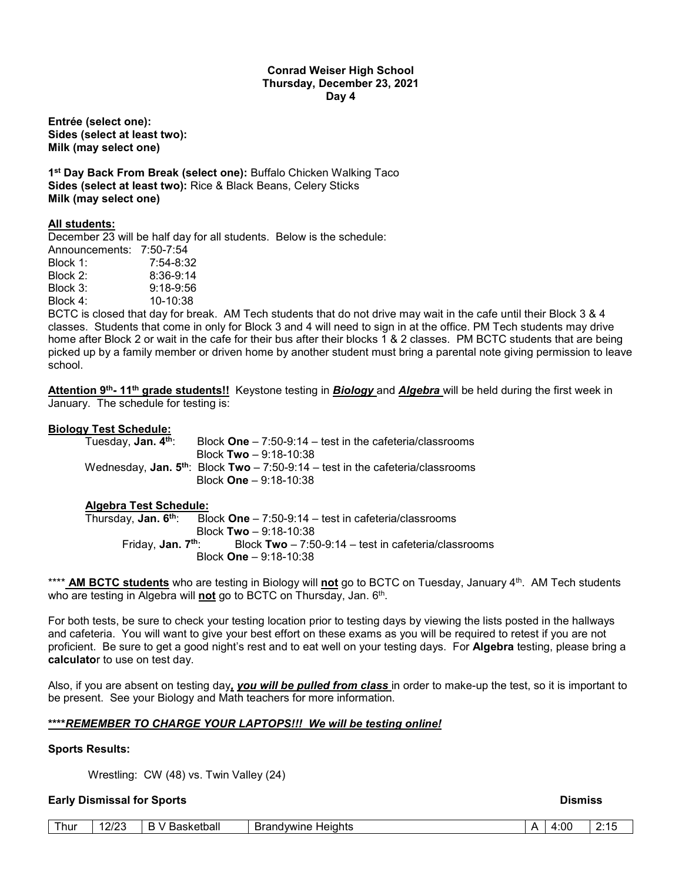## **Conrad Weiser High School Thursday, December 23, 2021 Day 4**

**Entrée (select one): Sides (select at least two): Milk (may select one)**

**1st Day Back From Break (select one):** Buffalo Chicken Walking Taco **Sides (select at least two):** Rice & Black Beans, Celery Sticks **Milk (may select one)**

## **All students:**

December 23 will be half day for all students. Below is the schedule: Announcements: 7:50-7:54

| ANIDUNCEMENTS. | 7.30-7.34   |
|----------------|-------------|
| Block 1:       | 7:54-8:32   |
| Block 2:       | $8:36-9:14$ |
| Block 3:       | $9:18-9:56$ |
| Block 4:       | 10-10:38    |
|                |             |

BCTC is closed that day for break. AM Tech students that do not drive may wait in the cafe until their Block 3 & 4 classes. Students that come in only for Block 3 and 4 will need to sign in at the office. PM Tech students may drive home after Block 2 or wait in the cafe for their bus after their blocks 1 & 2 classes. PM BCTC students that are being picked up by a family member or driven home by another student must bring a parental note giving permission to leave school.

**Attention 9th- 11th grade students!!** Keystone testing in *Biology* and *Algebra* will be held during the first week in January. The schedule for testing is:

## **Biology Test Schedule:**

| Tuesday, <b>Jan. 4th</b> : | Block $One - 7:50-9:14 - test$ in the cafeteria/classrooms                          |
|----------------------------|-------------------------------------------------------------------------------------|
|                            | Block Two $-9:18-10:38$                                                             |
|                            | Wednesday, Jan. $5^{th}$ : Block Two - 7:50-9:14 - test in the cafeteria/classrooms |
|                            | Block $One - 9:18-10:38$                                                            |

### **Algebra Test Schedule:**

 Thursday, **Jan. 6th**: Block **One** – 7:50-9:14 – test in cafeteria/classrooms Block **Two** – 9:18-10:38<br>Friday, **Jan. 7<sup>th</sup>:** Block **Two** – 7:5 Block **Two** – 7:50-9:14 – test in cafeteria/classrooms Block **One** – 9:18-10:38

\*\*\*\* **AM BCTC students** who are testing in Biology will **not** go to BCTC on Tuesday, January 4th. AM Tech students who are testing in Algebra will not go to BCTC on Thursday, Jan. 6<sup>th</sup>.

For both tests, be sure to check your testing location prior to testing days by viewing the lists posted in the hallways and cafeteria. You will want to give your best effort on these exams as you will be required to retest if you are not proficient. Be sure to get a good night's rest and to eat well on your testing days. For **Algebra** testing, please bring a **calculato**r to use on test day.

Also, if you are absent on testing day*, you will be pulled from class* in order to make-up the test, so it is important to be present. See your Biology and Math teachers for more information.

## **\*\*\*\****REMEMBER TO CHARGE YOUR LAPTOPS!!! We will be testing online!*

### **Sports Results:**

Wrestling: CW (48) vs. Twin Valley (24)

## **Early Dismissal for Sports And American Security Control of the Control of Sports And American Security Control of the Dismission Dismission Dismission Control of the Dismission Dismission Dismission Dismission Dismission**

| Thur | 0/2<br>-<br>1212 | <b>Basketball</b><br>D<br>-<br>$\mathbf{v}$ | <b>Brandvwine</b><br><b>Heights</b> | <br>4:00<br>$ -$ | $\sim$ |
|------|------------------|---------------------------------------------|-------------------------------------|------------------|--------|